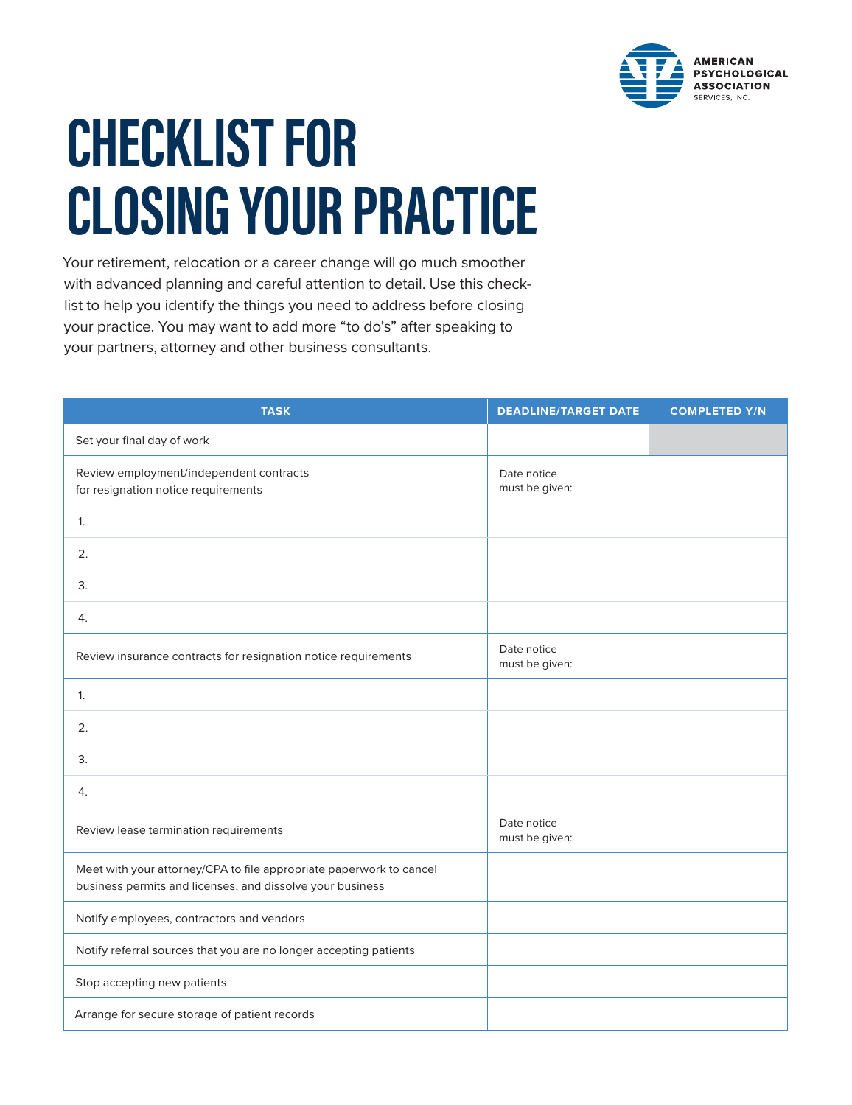

## **CHECKLIST FOR CLOSING YOUR PRACTICE**

Your retirement, relocation or a career change will go much smoother with advanced planning and careful attention to detail. Use this checklist to help you identify the things you need to address before closing your practice. You may want to add more "to do's" after speaking to your partners, attorney and other business consultants.

| <b>TASK</b>                                                                                                                      | <b>DEADLINE/TARGET DATE</b>   | <b>COMPLETED Y/N</b> |
|----------------------------------------------------------------------------------------------------------------------------------|-------------------------------|----------------------|
| Set your final day of work                                                                                                       |                               |                      |
| Review employment/independent contracts<br>for resignation notice requirements                                                   | Date notice<br>must be given: |                      |
| 1.                                                                                                                               |                               |                      |
| 2.                                                                                                                               |                               |                      |
| 3.                                                                                                                               |                               |                      |
| 4.                                                                                                                               |                               |                      |
| Review insurance contracts for resignation notice requirements                                                                   | Date notice<br>must be given: |                      |
| 1.                                                                                                                               |                               |                      |
| 2.                                                                                                                               |                               |                      |
| 3.                                                                                                                               |                               |                      |
| 4.                                                                                                                               |                               |                      |
| Review lease termination requirements                                                                                            | Date notice<br>must be given: |                      |
| Meet with your attorney/CPA to file appropriate paperwork to cancel<br>business permits and licenses, and dissolve your business |                               |                      |
| Notify employees, contractors and vendors                                                                                        |                               |                      |
| Notify referral sources that you are no longer accepting patients                                                                |                               |                      |
| Stop accepting new patients                                                                                                      |                               |                      |
| Arrange for secure storage of patient records                                                                                    |                               |                      |